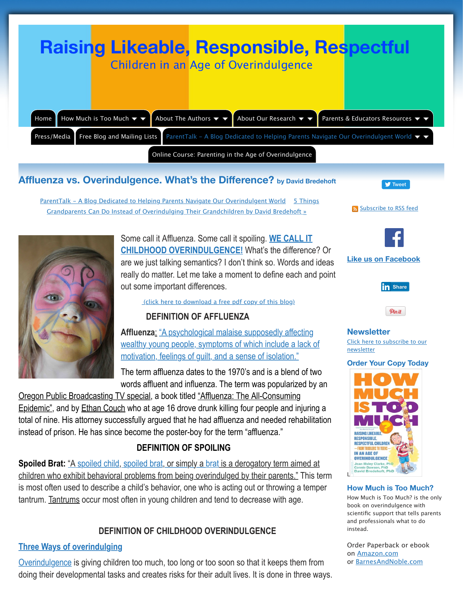

Some call it Affluenza. Some call it spoiling. WE **CHILDHOOD OVERINDULGENCE!** What's the are we just talking semantics? I don't think so. W really do matter. Let me take a moment to define out some important differences.

(click here to download a free pdf copy of this b

# **DEFINITION OF AFFLUENZA**

Affluenza: "A psychological malaise supposedly [wealthy y](http://overindulgence.info/how-much-is-too-much/index.html)[oung people, symptoms](http://overindulgence.info/about-the-authors/index.html) of which include [motivation, f](http://overindulgence.info/subscribe-to-our-mailing.html)eelings of guilt, and a sense of isolat

The term affluenza dates to the 1970's and is a b words affluent and influenza. The term was popularized by

Oregon Public Broadcasting TV special, a book titled "Affluenza: The All-Consu Epidemic", and by Ethan Couch who at age 16 drove drunk killing four people and injuring and injuring and injur total o[f nine. His attorney successfully argued that he had affluenza and needed](http://overindulgence.info/blog/index.html) instead [of prison. He has since become the poster-boy for the term "affluenza."](http://overindulgence.info/blog/5-things-grandparents-can.html)

## **DEFINITION OF SPOILING**

**Spoiled Brat:** "A spoiled child, spoiled brat, or simply a brat is a derogatory term children who exhibit behavioral problems from being overindulged by their pare is most often used to describe a child's behavior, one who is acting out or throw tantrum. Tantrums occur most often in young children and tend to decrease with

## **DEFINITIO[N OF CHILDHOOD OVERINDULGENCE](http://www.overindulgence.info/affluenza-vs-overindulgence.pdf)**

#### **Three Ways of overindulging**

Overindulgence is giving children too much, too long or too soon so that it keep doing their developmental tasks and creates risks for their adult lives. It is done